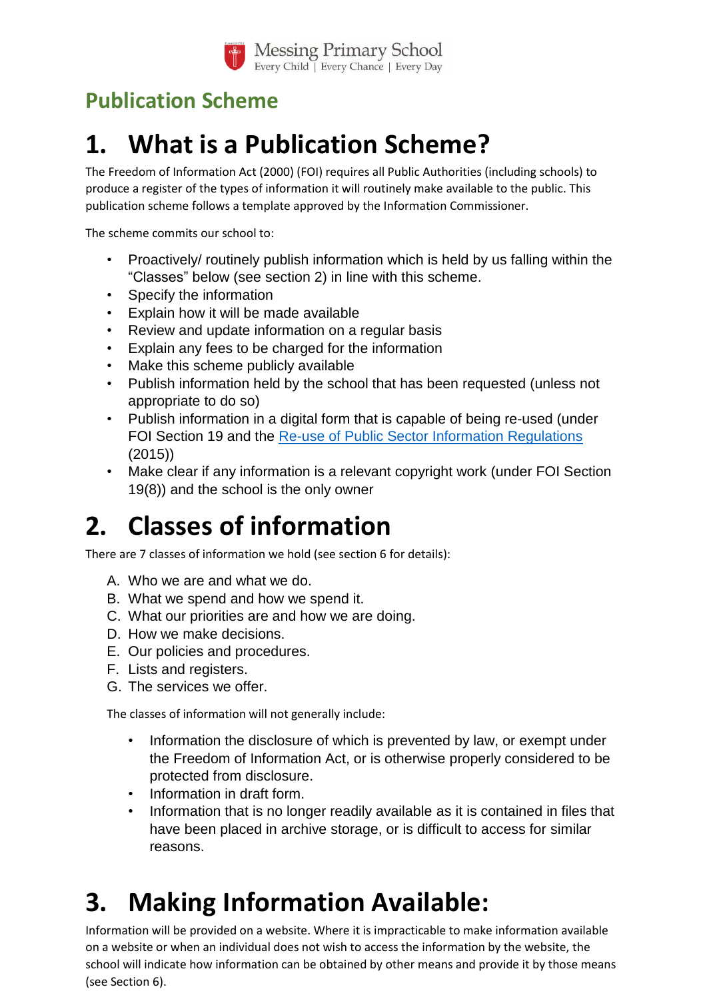

# **Publication Scheme**

# **1. What is a Publication Scheme?**

The Freedom of Information Act (2000) (FOI) requires all Public Authorities (including schools) to produce a register of the types of information it will routinely make available to the public. This publication scheme follows a template approved by the Information Commissioner.

The scheme commits our school to:

- Proactively/ routinely publish information which is held by us falling within the "Classes" below (see section 2) in line with this scheme.
- Specify the information
- Explain how it will be made available
- Review and update information on a regular basis
- Explain any fees to be charged for the information
- Make this scheme publicly available
- Publish information held by the school that has been requested (unless not appropriate to do so)
- Publish information in a digital form that is capable of being re-used (under FOI Section 19 and the [Re-use of Public Sector Information Regulations](http://www.legislation.gov.uk/uksi/2015/1415/contents/made) (2015))
- Make clear if any information is a relevant copyright work (under FOI Section 19(8)) and the school is the only owner

# **2. Classes of information**

There are 7 classes of information we hold (see section 6 for details):

- A. Who we are and what we do.
- B. What we spend and how we spend it.
- C. What our priorities are and how we are doing.
- D. How we make decisions.
- E. Our policies and procedures.
- F. Lists and registers.
- G. The services we offer.

The classes of information will not generally include:

- Information the disclosure of which is prevented by law, or exempt under the Freedom of Information Act, or is otherwise properly considered to be protected from disclosure.
- Information in draft form.
- Information that is no longer readily available as it is contained in files that have been placed in archive storage, or is difficult to access for similar reasons.

# **3. Making Information Available:**

Information will be provided on a website. Where it is impracticable to make information available on a website or when an individual does not wish to access the information by the website, the school will indicate how information can be obtained by other means and provide it by those means (see Section 6).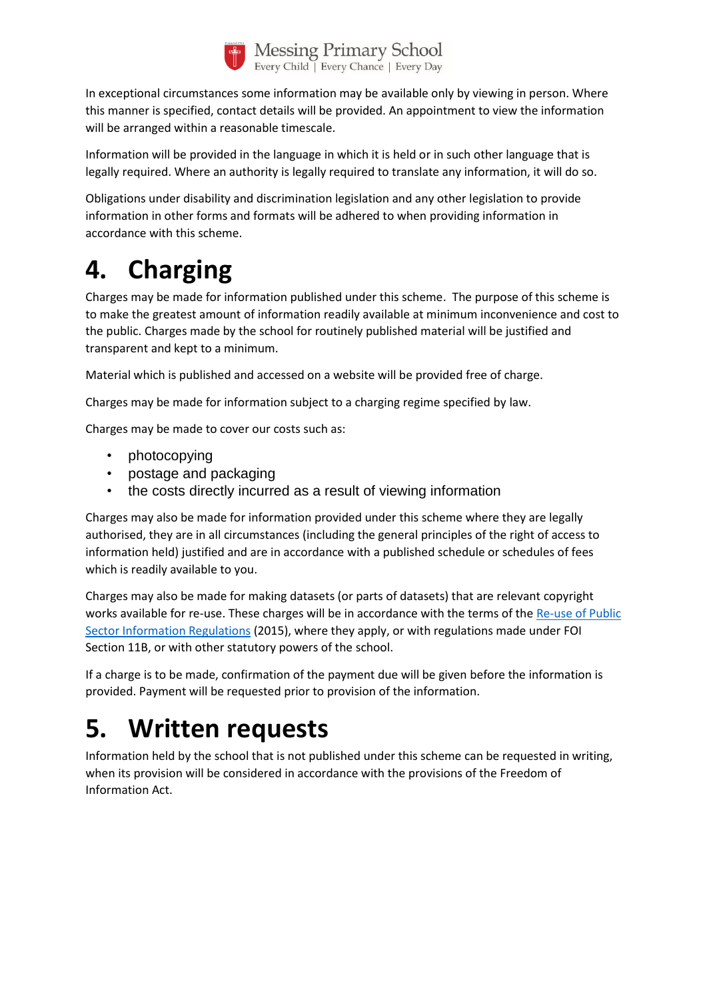

In exceptional circumstances some information may be available only by viewing in person. Where this manner is specified, contact details will be provided. An appointment to view the information will be arranged within a reasonable timescale.

Information will be provided in the language in which it is held or in such other language that is legally required. Where an authority is legally required to translate any information, it will do so.

Obligations under disability and discrimination legislation and any other legislation to provide information in other forms and formats will be adhered to when providing information in accordance with this scheme.

# **4. Charging**

Charges may be made for information published under this scheme. The purpose of this scheme is to make the greatest amount of information readily available at minimum inconvenience and cost to the public. Charges made by the school for routinely published material will be justified and transparent and kept to a minimum.

Material which is published and accessed on a website will be provided free of charge.

Charges may be made for information subject to a charging regime specified by law.

Charges may be made to cover our costs such as:

- photocopying
- postage and packaging
- the costs directly incurred as a result of viewing information

Charges may also be made for information provided under this scheme where they are legally authorised, they are in all circumstances (including the general principles of the right of access to information held) justified and are in accordance with a published schedule or schedules of fees which is readily available to you.

Charges may also be made for making datasets (or parts of datasets) that are relevant copyright works available for re-use. These charges will be in accordance with the terms of the Re-use of Public [Sector Information Regulations](http://www.legislation.gov.uk/uksi/2015/1415/contents/made) (2015), where they apply, or with regulations made under FOI Section 11B, or with other statutory powers of the school.

If a charge is to be made, confirmation of the payment due will be given before the information is provided. Payment will be requested prior to provision of the information.

# **5. Written requests**

Information held by the school that is not published under this scheme can be requested in writing, when its provision will be considered in accordance with the provisions of the Freedom of Information Act.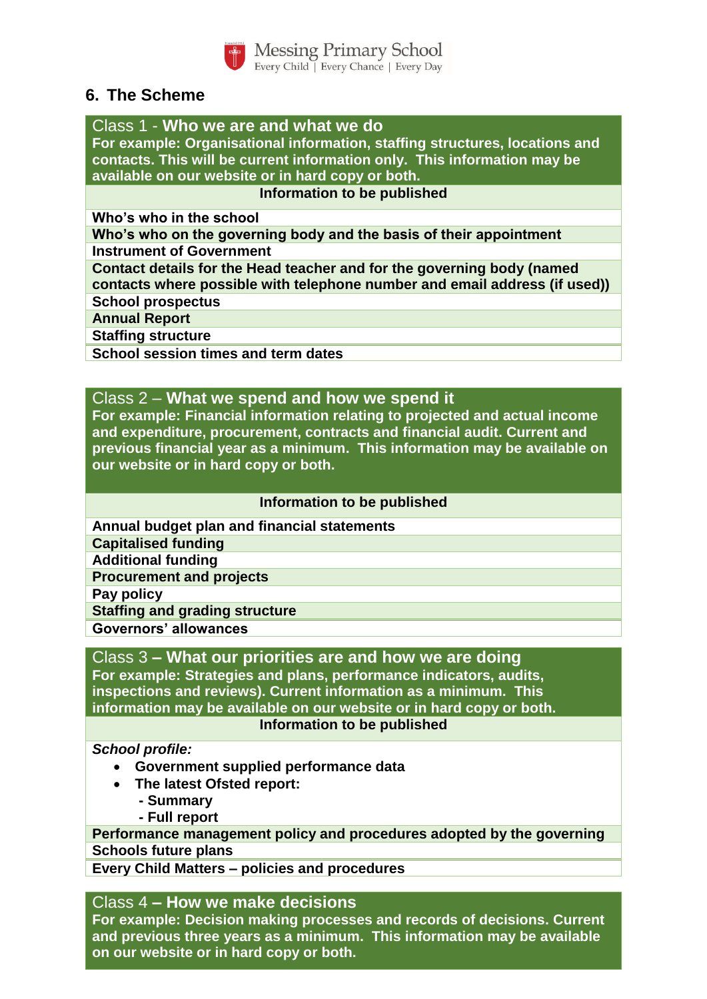

**Messing Primary School** Every Child | Every Chance | Every Day

# **6. The Scheme**

Class 1 - **Who we are and what we do**

**For example: Organisational information, staffing structures, locations and contacts. This will be current information only. This information may be available on our website or in hard copy or both.** 

#### **Information to be published**

**Who's who in the school**

**Who's who on the governing body and the basis of their appointment Instrument of Government**

**Contact details for the Head teacher and for the governing body (named contacts where possible with telephone number and email address (if used))**

**School prospectus**

**Annual Report**

**Staffing structure**

**School session times and term dates**

### Class 2 – **What we spend and how we spend it**

**For example: Financial information relating to projected and actual income and expenditure, procurement, contracts and financial audit. Current and previous financial year as a minimum. This information may be available on our website or in hard copy or both.**

#### **Information to be published**

**Annual budget plan and financial statements**

**Capitalised funding**

**Additional funding**

**Procurement and projects**

**Pay policy**

**Staffing and grading structure**

**Governors' allowances**

## Class 3 **– What our priorities are and how we are doing**

**For example: Strategies and plans, performance indicators, audits, inspections and reviews). Current information as a minimum. This information may be available on our website or in hard copy or both.**

#### **Information to be published**

#### *School profile:*

- **Government supplied performance data**
- **The latest Ofsted report:**
	- **- Summary**
	- **- Full report**

**Performance management policy and procedures adopted by the governing body. Schools future plans**

**Every Child Matters – policies and procedures**

## Class 4 **– How we make decisions**

**For example: Decision making processes and records of decisions. Current and previous three years as a minimum. This information may be available on our website or in hard copy or both.**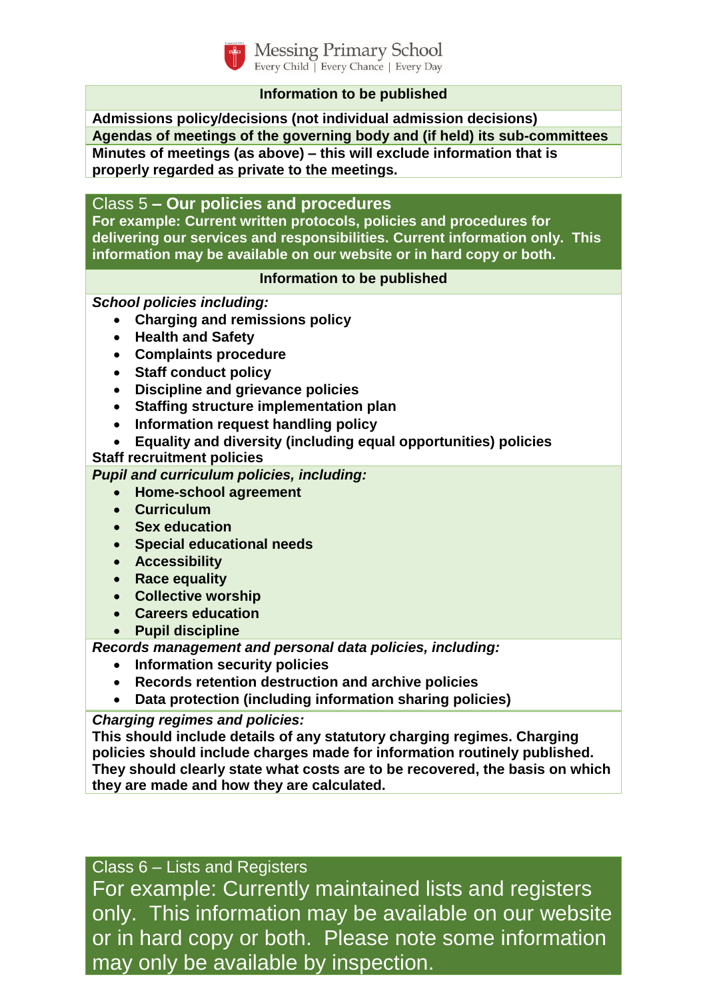

**Messing Primary School** Every Child | Every Chance | Every Day

### **Information to be published**

**Admissions policy/decisions (not individual admission decisions) Agendas of meetings of the governing body and (if held) its sub-committees Minutes of meetings (as above) – this will exclude information that is properly regarded as private to the meetings.**

Class 5 **– Our policies and procedures**

**For example: Current written protocols, policies and procedures for delivering our services and responsibilities. Current information only. This information may be available on our website or in hard copy or both.**

#### **Information to be published**

*School policies including:*

- **Charging and remissions policy**
- **Health and Safety**
- **Complaints procedure**
- **Staff conduct policy**
- **Discipline and grievance policies**
- **Staffing structure implementation plan**
- **Information request handling policy**
- **Equality and diversity (including equal opportunities) policies**

## **Staff recruitment policies**

*Pupil and curriculum policies, including:*

- **Home-school agreement**
- **Curriculum**
- **Sex education**
- **Special educational needs**
- **Accessibility**
- **Race equality**
- **Collective worship**
- **Careers education**
- **Pupil discipline**

*Records management and personal data policies, including:*

- **Information security policies**
- **Records retention destruction and archive policies**
- **Data protection (including information sharing policies)**

## *Charging regimes and policies:*

**This should include details of any statutory charging regimes. Charging policies should include charges made for information routinely published. They should clearly state what costs are to be recovered, the basis on which they are made and how they are calculated.**

Class 6 – Lists and Registers

For example: Currently maintained lists and registers only. This information may be available on our website or in hard copy or both. Please note some information may only be available by inspection.